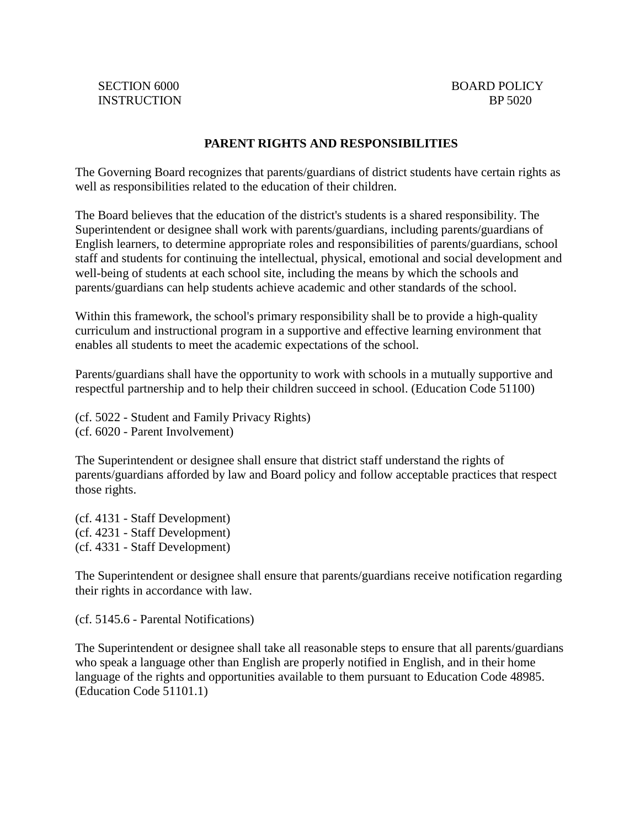## **PARENT RIGHTS AND RESPONSIBILITIES**

The Governing Board recognizes that parents/guardians of district students have certain rights as well as responsibilities related to the education of their children.

The Board believes that the education of the district's students is a shared responsibility. The Superintendent or designee shall work with parents/guardians, including parents/guardians of English learners, to determine appropriate roles and responsibilities of parents/guardians, school staff and students for continuing the intellectual, physical, emotional and social development and well-being of students at each school site, including the means by which the schools and parents/guardians can help students achieve academic and other standards of the school.

Within this framework, the school's primary responsibility shall be to provide a high-quality curriculum and instructional program in a supportive and effective learning environment that enables all students to meet the academic expectations of the school.

Parents/guardians shall have the opportunity to work with schools in a mutually supportive and respectful partnership and to help their children succeed in school. (Education Code 51100)

(cf. 5022 - Student and Family Privacy Rights) (cf. 6020 - Parent Involvement)

The Superintendent or designee shall ensure that district staff understand the rights of parents/guardians afforded by law and Board policy and follow acceptable practices that respect those rights.

(cf. 4131 - Staff Development) (cf. 4231 - Staff Development) (cf. 4331 - Staff Development)

The Superintendent or designee shall ensure that parents/guardians receive notification regarding their rights in accordance with law.

(cf. 5145.6 - Parental Notifications)

The Superintendent or designee shall take all reasonable steps to ensure that all parents/guardians who speak a language other than English are properly notified in English, and in their home language of the rights and opportunities available to them pursuant to Education Code 48985. (Education Code 51101.1)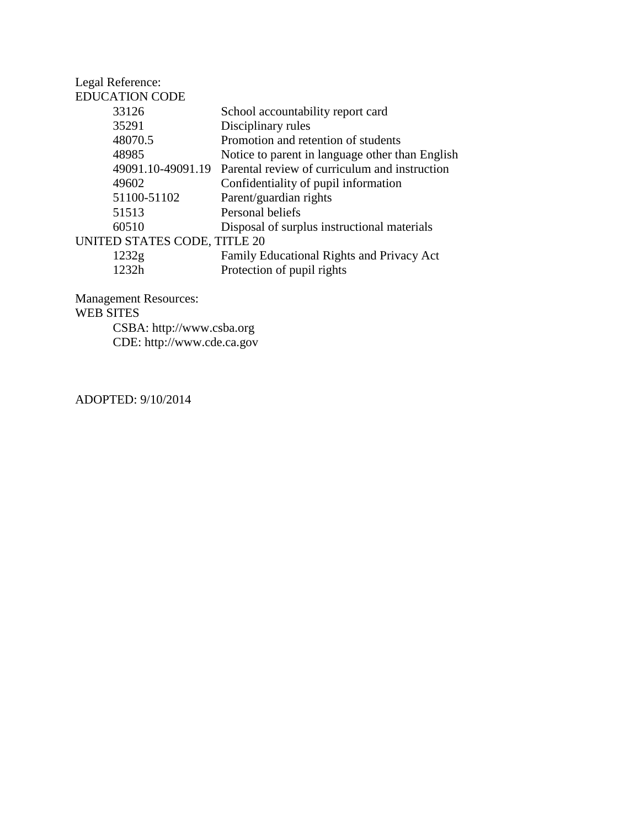| Legal Reference:             |                                                 |
|------------------------------|-------------------------------------------------|
| <b>EDUCATION CODE</b>        |                                                 |
| 33126                        | School accountability report card               |
| 35291                        | Disciplinary rules                              |
| 48070.5                      | Promotion and retention of students             |
| 48985                        | Notice to parent in language other than English |
| 49091.10-49091.19            | Parental review of curriculum and instruction   |
| 49602                        | Confidentiality of pupil information            |
| 51100-51102                  | Parent/guardian rights                          |
| 51513                        | Personal beliefs                                |
| 60510                        | Disposal of surplus instructional materials     |
| UNITED STATES CODE, TITLE 20 |                                                 |
| 1232g                        | Family Educational Rights and Privacy Act       |
| 1232h                        | Protection of pupil rights                      |
|                              |                                                 |

Management Resources: WEB SITES CSBA: http://www.csba.org CDE: http://www.cde.ca.gov

ADOPTED: 9/10/2014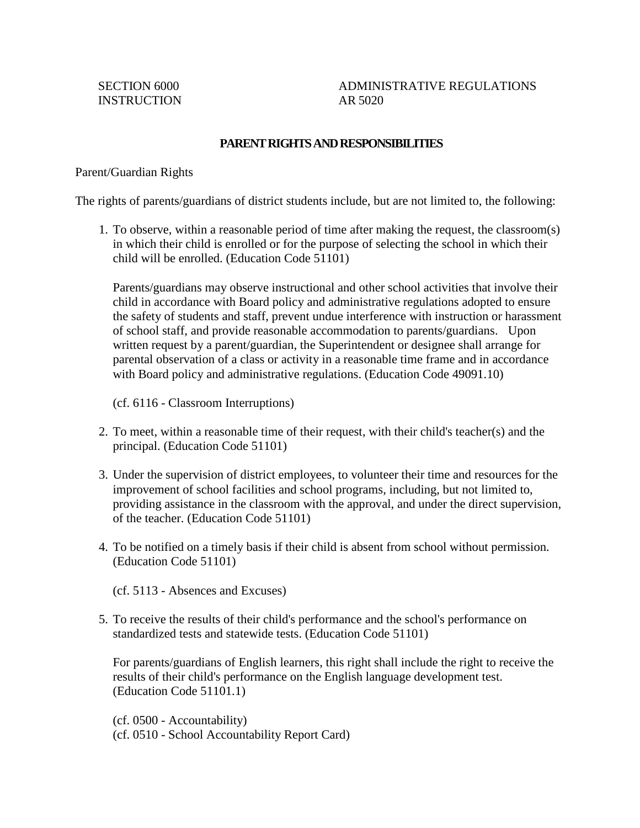SECTION 6000 ADMINISTRATIVE REGULATIONS

## **PARENT RIGHTS AND RESPONSIBILITIES**

Parent/Guardian Rights

The rights of parents/guardians of district students include, but are not limited to, the following:

1. To observe, within a reasonable period of time after making the request, the classroom(s) in which their child is enrolled or for the purpose of selecting the school in which their child will be enrolled. (Education Code 51101)

Parents/guardians may observe instructional and other school activities that involve their child in accordance with Board policy and administrative regulations adopted to ensure the safety of students and staff, prevent undue interference with instruction or harassment of school staff, and provide reasonable accommodation to parents/guardians. Upon written request by a parent/guardian, the Superintendent or designee shall arrange for parental observation of a class or activity in a reasonable time frame and in accordance with Board policy and administrative regulations. (Education Code 49091.10)

(cf. 6116 - Classroom Interruptions)

- 2. To meet, within a reasonable time of their request, with their child's teacher(s) and the principal. (Education Code 51101)
- 3. Under the supervision of district employees, to volunteer their time and resources for the improvement of school facilities and school programs, including, but not limited to, providing assistance in the classroom with the approval, and under the direct supervision, of the teacher. (Education Code 51101)
- 4. To be notified on a timely basis if their child is absent from school without permission. (Education Code 51101)

(cf. 5113 - Absences and Excuses)

5. To receive the results of their child's performance and the school's performance on standardized tests and statewide tests. (Education Code 51101)

For parents/guardians of English learners, this right shall include the right to receive the results of their child's performance on the English language development test. (Education Code 51101.1)

(cf. 0500 - Accountability) (cf. 0510 - School Accountability Report Card)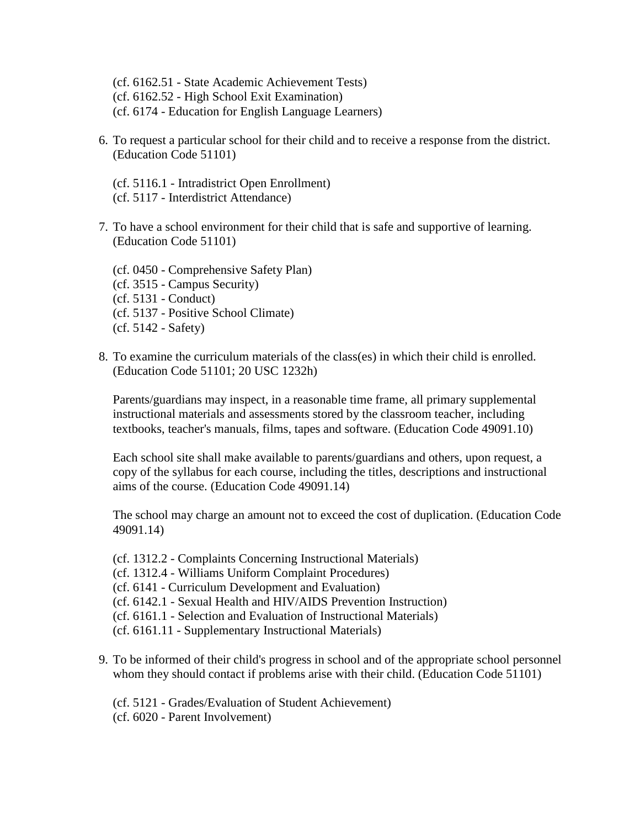(cf. 6162.51 - State Academic Achievement Tests) (cf. 6162.52 - High School Exit Examination) (cf. 6174 - Education for English Language Learners)

- 6. To request a particular school for their child and to receive a response from the district. (Education Code 51101)
	- (cf. 5116.1 Intradistrict Open Enrollment) (cf. 5117 - Interdistrict Attendance)
- 7. To have a school environment for their child that is safe and supportive of learning. (Education Code 51101)

(cf. 0450 - Comprehensive Safety Plan) (cf. 3515 - Campus Security) (cf. 5131 - Conduct) (cf. 5137 - Positive School Climate) (cf. 5142 - Safety)

8. To examine the curriculum materials of the class(es) in which their child is enrolled. (Education Code 51101; 20 USC 1232h)

Parents/guardians may inspect, in a reasonable time frame, all primary supplemental instructional materials and assessments stored by the classroom teacher, including textbooks, teacher's manuals, films, tapes and software. (Education Code 49091.10)

Each school site shall make available to parents/guardians and others, upon request, a copy of the syllabus for each course, including the titles, descriptions and instructional aims of the course. (Education Code 49091.14)

The school may charge an amount not to exceed the cost of duplication. (Education Code 49091.14)

- (cf. 1312.2 Complaints Concerning Instructional Materials) (cf. 1312.4 - Williams Uniform Complaint Procedures) (cf. 6141 - Curriculum Development and Evaluation) (cf. 6142.1 - Sexual Health and HIV/AIDS Prevention Instruction) (cf. 6161.1 - Selection and Evaluation of Instructional Materials) (cf. 6161.11 - Supplementary Instructional Materials)
- 9. To be informed of their child's progress in school and of the appropriate school personnel whom they should contact if problems arise with their child. (Education Code 51101)
	- (cf. 5121 Grades/Evaluation of Student Achievement)
	- (cf. 6020 Parent Involvement)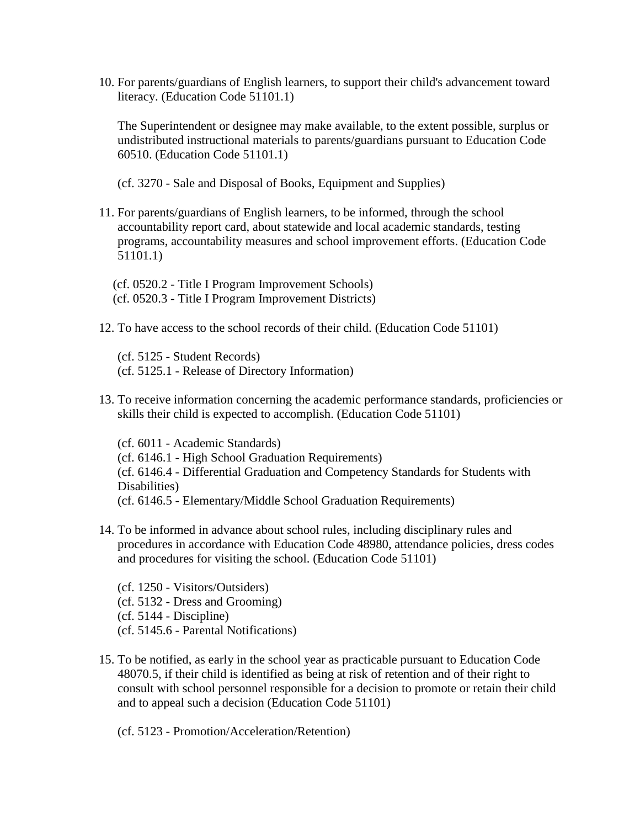10. For parents/guardians of English learners, to support their child's advancement toward literacy. (Education Code 51101.1)

The Superintendent or designee may make available, to the extent possible, surplus or undistributed instructional materials to parents/guardians pursuant to Education Code 60510. (Education Code 51101.1)

(cf. 3270 - Sale and Disposal of Books, Equipment and Supplies)

11. For parents/guardians of English learners, to be informed, through the school accountability report card, about statewide and local academic standards, testing programs, accountability measures and school improvement efforts. (Education Code 51101.1)

(cf. 0520.2 - Title I Program Improvement Schools) (cf. 0520.3 - Title I Program Improvement Districts)

12. To have access to the school records of their child. (Education Code 51101)

(cf. 5125 - Student Records) (cf. 5125.1 - Release of Directory Information)

13. To receive information concerning the academic performance standards, proficiencies or skills their child is expected to accomplish. (Education Code 51101)

(cf. 6011 - Academic Standards) (cf. 6146.1 - High School Graduation Requirements) (cf. 6146.4 - Differential Graduation and Competency Standards for Students with Disabilities) (cf. 6146.5 - Elementary/Middle School Graduation Requirements)

14. To be informed in advance about school rules, including disciplinary rules and procedures in accordance with Education Code 48980, attendance policies, dress codes and procedures for visiting the school. (Education Code 51101)

(cf. 1250 - Visitors/Outsiders) (cf. 5132 - Dress and Grooming) (cf. 5144 - Discipline) (cf. 5145.6 - Parental Notifications)

15. To be notified, as early in the school year as practicable pursuant to Education Code 48070.5, if their child is identified as being at risk of retention and of their right to consult with school personnel responsible for a decision to promote or retain their child and to appeal such a decision (Education Code 51101)

(cf. 5123 - Promotion/Acceleration/Retention)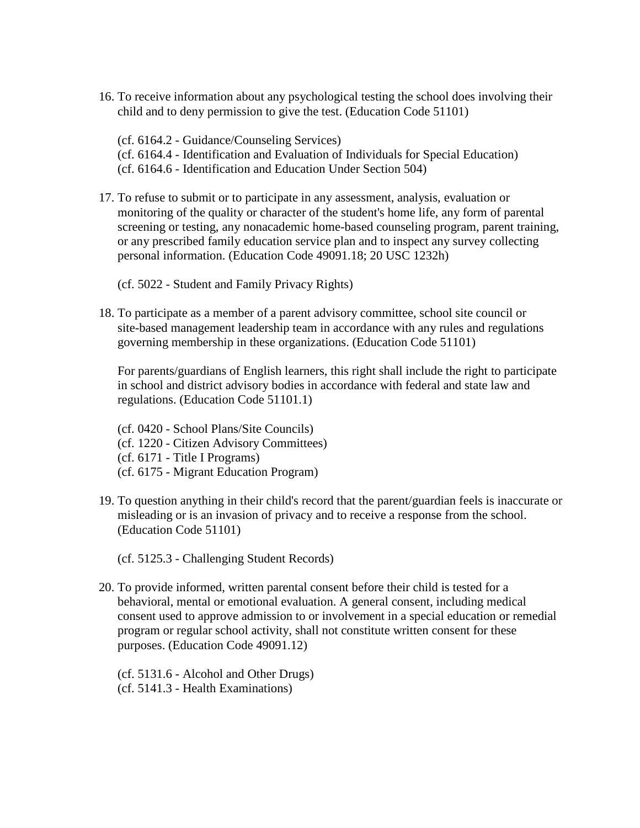16. To receive information about any psychological testing the school does involving their child and to deny permission to give the test. (Education Code 51101)

(cf. 6164.2 - Guidance/Counseling Services) (cf. 6164.4 - Identification and Evaluation of Individuals for Special Education) (cf. 6164.6 - Identification and Education Under Section 504)

17. To refuse to submit or to participate in any assessment, analysis, evaluation or monitoring of the quality or character of the student's home life, any form of parental screening or testing, any nonacademic home-based counseling program, parent training, or any prescribed family education service plan and to inspect any survey collecting personal information. (Education Code 49091.18; 20 USC 1232h)

(cf. 5022 - Student and Family Privacy Rights)

18. To participate as a member of a parent advisory committee, school site council or site-based management leadership team in accordance with any rules and regulations governing membership in these organizations. (Education Code 51101)

For parents/guardians of English learners, this right shall include the right to participate in school and district advisory bodies in accordance with federal and state law and regulations. (Education Code 51101.1)

(cf. 0420 - School Plans/Site Councils) (cf. 1220 - Citizen Advisory Committees) (cf. 6171 - Title I Programs) (cf. 6175 - Migrant Education Program)

19. To question anything in their child's record that the parent/guardian feels is inaccurate or misleading or is an invasion of privacy and to receive a response from the school. (Education Code 51101)

(cf. 5125.3 - Challenging Student Records)

20. To provide informed, written parental consent before their child is tested for a behavioral, mental or emotional evaluation. A general consent, including medical consent used to approve admission to or involvement in a special education or remedial program or regular school activity, shall not constitute written consent for these purposes. (Education Code 49091.12)

(cf. 5131.6 - Alcohol and Other Drugs) (cf. 5141.3 - Health Examinations)